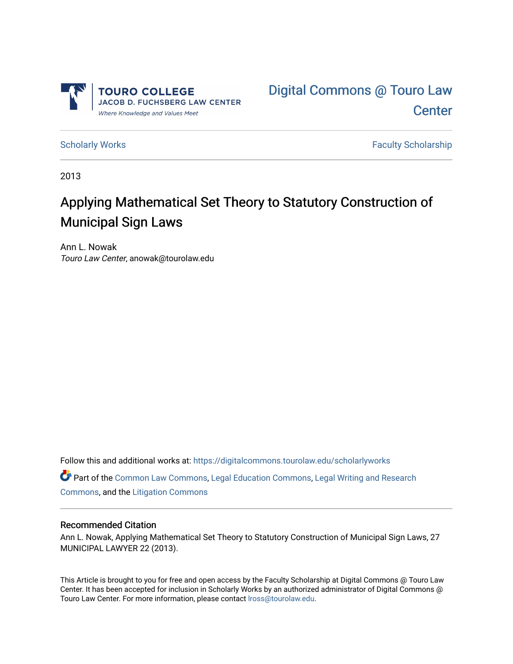



[Scholarly Works](https://digitalcommons.tourolaw.edu/scholarlyworks) **Faculty Scholarship** Scholarship

2013

# Applying Mathematical Set Theory to Statutory Construction of Municipal Sign Laws

Ann L. Nowak Touro Law Center, anowak@tourolaw.edu

Follow this and additional works at: [https://digitalcommons.tourolaw.edu/scholarlyworks](https://digitalcommons.tourolaw.edu/scholarlyworks?utm_source=digitalcommons.tourolaw.edu%2Fscholarlyworks%2F813&utm_medium=PDF&utm_campaign=PDFCoverPages)

Part of the [Common Law Commons,](https://network.bepress.com/hgg/discipline/1120?utm_source=digitalcommons.tourolaw.edu%2Fscholarlyworks%2F813&utm_medium=PDF&utm_campaign=PDFCoverPages) [Legal Education Commons,](https://network.bepress.com/hgg/discipline/857?utm_source=digitalcommons.tourolaw.edu%2Fscholarlyworks%2F813&utm_medium=PDF&utm_campaign=PDFCoverPages) [Legal Writing and Research](https://network.bepress.com/hgg/discipline/614?utm_source=digitalcommons.tourolaw.edu%2Fscholarlyworks%2F813&utm_medium=PDF&utm_campaign=PDFCoverPages)  [Commons](https://network.bepress.com/hgg/discipline/614?utm_source=digitalcommons.tourolaw.edu%2Fscholarlyworks%2F813&utm_medium=PDF&utm_campaign=PDFCoverPages), and the [Litigation Commons](https://network.bepress.com/hgg/discipline/910?utm_source=digitalcommons.tourolaw.edu%2Fscholarlyworks%2F813&utm_medium=PDF&utm_campaign=PDFCoverPages)

### Recommended Citation

Ann L. Nowak, Applying Mathematical Set Theory to Statutory Construction of Municipal Sign Laws, 27 MUNICIPAL LAWYER 22 (2013).

This Article is brought to you for free and open access by the Faculty Scholarship at Digital Commons @ Touro Law Center. It has been accepted for inclusion in Scholarly Works by an authorized administrator of Digital Commons @ Touro Law Center. For more information, please contact [lross@tourolaw.edu](mailto:lross@tourolaw.edu).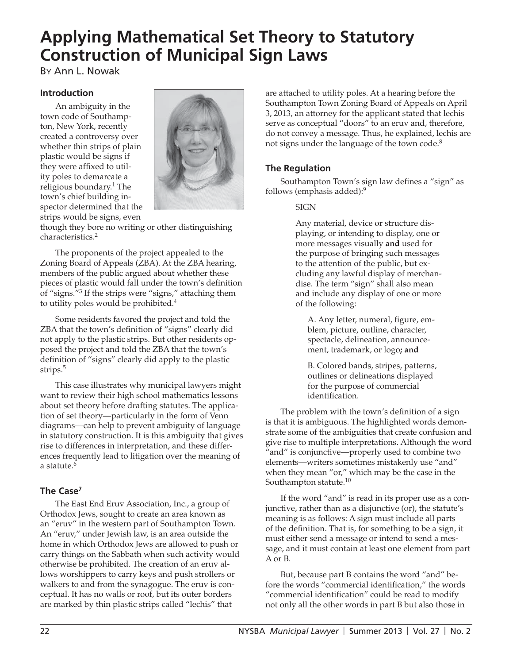# **Applying Mathematical Set Theory to Statutory Construction of Municipal Sign Laws**

BY Ann L. Nowak

# **Introduction**

An ambiguity in the town code of Southampton, New York, recently created a controversy over whether thin strips of plain plastic would be signs if they were affixed to utility poles to demarcate a religious boundary.1 The town's chief building inspector determined that the strips would be signs, even



though they bore no writing or other distinguishing characteristics.2

The proponents of the project appealed to the Zoning Board of Appeals (ZBA). At the ZBA hearing, members of the public argued about whether these pieces of plastic would fall under the town's definition of "signs."3 If the strips were "signs," attaching them to utility poles would be prohibited.<sup>4</sup>

Some residents favored the project and told the ZBA that the town's definition of "signs" clearly did not apply to the plastic strips. But other residents opposed the project and told the ZBA that the town's definition of "signs" clearly did apply to the plastic strips.<sup>5</sup>

This case illustrates why municipal lawyers might want to review their high school mathematics lessons about set theory before drafting statutes. The application of set theory—particularly in the form of Venn diagrams—can help to prevent ambiguity of language in statutory construction. It is this ambiguity that gives rise to differences in interpretation, and these differences frequently lead to litigation over the meaning of a statute. $6$ 

# **The Case7**

The East End Eruv Association, Inc., a group of Orthodox Jews, sought to create an area known as an "eruv" in the western part of Southampton Town. An "eruv," under Jewish law, is an area outside the home in which Orthodox Jews are allowed to push or carry things on the Sabbath when such activity would otherwise be prohibited. The creation of an eruv allows worshippers to carry keys and push strollers or walkers to and from the synagogue. The eruv is conceptual. It has no walls or roof, but its outer borders are marked by thin plastic strips called "lechis" that

are attached to utility poles. At a hearing before the Southampton Town Zoning Board of Appeals on April 3, 2013, an attorney for the applicant stated that lechis serve as conceptual "doors" to an eruv and, therefore, do not convey a message. Thus, he explained, lechis are not signs under the language of the town code.<sup>8</sup>

# **The Regulation**

Southampton Town's sign law defines a "sign" as follows (emphasis added):9

# **SIGN**

Any material, device or structure displaying, or intending to display, one or more messages visually **and** used for the purpose of bringing such messages to the attention of the public, but excluding any lawful display of merchandise. The term "sign" shall also mean and include any display of one or more of the following:

A. Any letter, numeral, figure, emblem, picture, outline, character, spectacle, delineation, announcement, trademark, or logo**; and**

B. Colored bands, stripes, patterns, outlines or delineations displayed for the purpose of commercial identification.

The problem with the town's definition of a sign is that it is ambiguous. The highlighted words demonstrate some of the ambiguities that create confusion and give rise to multiple interpretations. Although the word "and" is conjunctive—properly used to combine two elements—writers sometimes mistakenly use "and" when they mean "or," which may be the case in the Southampton statute.<sup>10</sup>

If the word "and" is read in its proper use as a conjunctive, rather than as a disjunctive (or), the statute's meaning is as follows: A sign must include all parts of the definition. That is, for something to be a sign, it must either send a message or intend to send a message, and it must contain at least one element from part A or B.

But, because part B contains the word "and" before the words "commercial identification," the words "commercial identification" could be read to modify not only all the other words in part B but also those in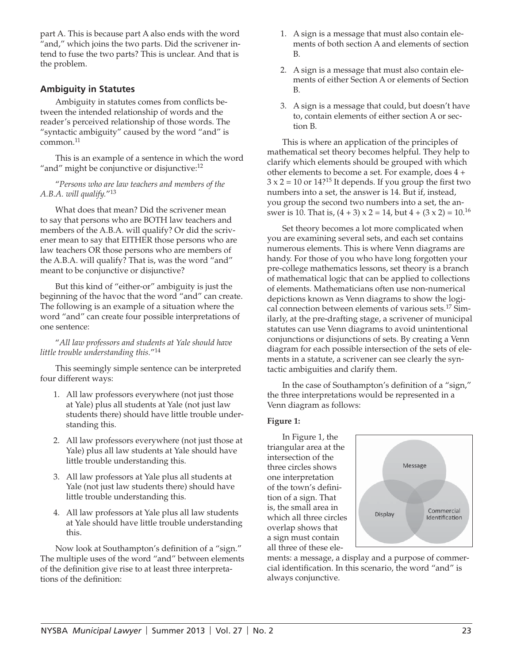part A. This is because part A also ends with the word "and," which joins the two parts. Did the scrivener intend to fuse the two parts? This is unclear. And that is the problem.

# **Ambiguity in Statutes**

Ambiguity in statutes comes from conflicts between the intended relationship of words and the reader's perceived relationship of those words. The "syntactic ambiguity" caused by the word "and" is  $common.<sup>11</sup>$ 

This is an example of a sentence in which the word "and" might be conjunctive or disjunctive:<sup>12</sup>

"*Persons who are law teachers and members of the A.B.A. will qualify.*"<sup>13</sup>

What does that mean? Did the scrivener mean to say that persons who are BOTH law teachers and members of the A.B.A. will qualify? Or did the scrivener mean to say that EITHER those persons who are law teachers OR those persons who are members of the A.B.A. will qualify? That is, was the word "and" meant to be conjunctive or disjunctive?

But this kind of "either-or" ambiguity is just the beginning of the havoc that the word "and" can create. The following is an example of a situation where the word "and" can create four possible interpretations of one sentence:

"*All law professors and students at Yale should have little trouble understanding this.*"14

This seemingly simple sentence can be interpreted four different ways:

- 1. All law professors everywhere (not just those at Yale) plus all students at Yale (not just law students there) should have little trouble understanding this.
- 2. All law professors everywhere (not just those at Yale) plus all law students at Yale should have little trouble understanding this.
- 3. All law professors at Yale plus all students at Yale (not just law students there) should have little trouble understanding this.
- 4. All law professors at Yale plus all law students at Yale should have little trouble understanding this.

Now look at Southampton's definition of a "sign." The multiple uses of the word "and" between elements of the definition give rise to at least three interpretations of the definition:

- 1. A sign is a message that must also contain elements of both section A and elements of section B.
- 2. A sign is a message that must also contain elements of either Section A or elements of Section B.
- 3. A sign is a message that could, but doesn't have to, contain elements of either section A or section B.

This is where an application of the principles of mathematical set theory becomes helpful. They help to clarify which elements should be grouped with which other elements to become a set. For example, does 4 +  $3 \times 2 = 10$  or  $14$ ?<sup>15</sup> It depends. If you group the first two numbers into a set, the answer is 14. But if, instead, you group the second two numbers into a set, the answer is 10. That is,  $(4 + 3) \times 2 = 14$ , but  $4 + (3 \times 2) = 10^{16}$ 

Set theory becomes a lot more complicated when you are examining several sets, and each set contains numerous elements. This is where Venn diagrams are handy. For those of you who have long forgotten your pre-college mathematics lessons, set theory is a branch of mathematical logic that can be applied to collections of elements. Mathematicians often use non-numerical depictions known as Venn diagrams to show the logical connection between elements of various sets.17 Similarly, at the pre-drafting stage, a scrivener of municipal statutes can use Venn diagrams to avoid unintentional conjunctions or disjunctions of sets. By creating a Venn diagram for each possible intersection of the sets of elements in a statute, a scrivener can see clearly the syntactic ambiguities and clarify them.

In the case of Southampton's definition of a "sign," the three interpretations would be represented in a Venn diagram as follows:

#### **Figure 1:**

In Figure 1, the triangular area at the intersection of the three circles shows one interpretation of the town's definition of a sign. That is, the small area in which all three circles overlap shows that a sign must contain all three of these ele-



ments: a message, a display and a purpose of commercial identification. In this scenario, the word "and" is always conjunctive.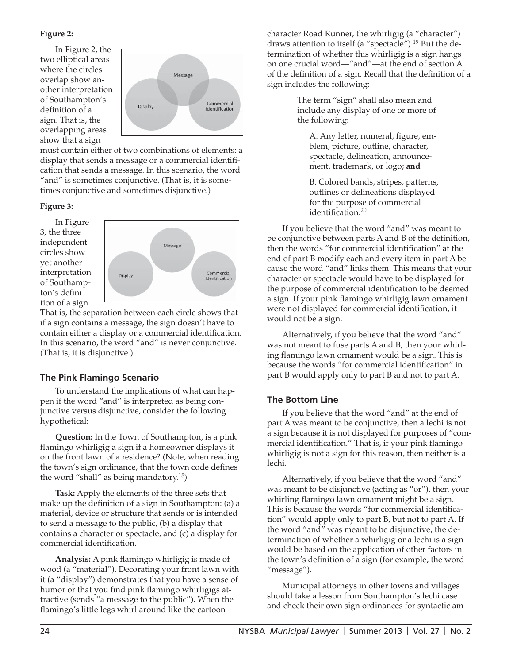# **Figure 2:**

In Figure 2, the two elliptical areas where the circles overlap show another interpretation of Southampton's definition of a sign. That is, the overlapping areas show that a sign



must contain either of two combinations of elements: a display that sends a message or a commercial identification that sends a message. In this scenario, the word "and" is sometimes conjunctive. (That is, it is sometimes conjunctive and sometimes disjunctive.)

# **Figure 3:**

In Figure 3, the three independent circles show yet another interpretation of Southampton's definition of a sign.



That is, the separation between each circle shows that if a sign contains a message, the sign doesn't have to contain either a display or a commercial identification. In this scenario, the word "and" is never conjunctive. (That is, it is disjunctive.)

# **The Pink Flamingo Scenario**

To understand the implications of what can happen if the word "and" is interpreted as being conjunctive versus disjunctive, consider the following hypothetical:

**Question:** In the Town of Southampton, is a pink flamingo whirligig a sign if a homeowner displays it on the front lawn of a residence? (Note, when reading the town's sign ordinance, that the town code defines the word "shall" as being mandatory.<sup>18</sup>)

**Task:** Apply the elements of the three sets that make up the definition of a sign in Southampton:  $(a)$  a material, device or structure that sends or is intended to send a message to the public, (b) a display that contains a character or spectacle, and (c) a display for commercial identification.

**Analysis:** A pink flamingo whirligig is made of wood (a "material"). Decorating your front lawn with it (a "display") demonstrates that you have a sense of humor or that you find pink flamingo whirligigs attractive (sends "a message to the public"). When the flamingo's little legs whirl around like the cartoon

character Road Runner, the whirligig (a "character") draws attention to itself (a "spectacle").19 But the determination of whether this whirligig is a sign hangs on one crucial word—"and"—at the end of section A of the definition of a sign. Recall that the definition of a sign includes the following:

> The term "sign" shall also mean and include any display of one or more of the following:

A. Any letter, numeral, figure, emblem, picture, outline, character, spectacle, delineation, announcement, trademark, or logo; **and**

B. Colored bands, stripes, patterns, outlines or delineations displayed for the purpose of commercial identification.<sup>20</sup>

If you believe that the word "and" was meant to be conjunctive between parts A and B of the definition, then the words "for commercial identification" at the end of part B modify each and every item in part A because the word "and" links them. This means that your character or spectacle would have to be displayed for the purpose of commercial identification to be deemed a sign. If your pink flamingo whirligig lawn ornament were not displayed for commercial identification, it would not be a sign.

Alternatively, if you believe that the word "and" was not meant to fuse parts A and B, then your whirling flamingo lawn ornament would be a sign. This is because the words "for commercial identification" in part B would apply only to part B and not to part A.

# **The Bottom Line**

If you believe that the word "and" at the end of part A was meant to be conjunctive, then a lechi is not a sign because it is not displayed for purposes of "commercial identification." That is, if your pink flamingo whirligig is not a sign for this reason, then neither is a lechi.

Alternatively, if you believe that the word "and" was meant to be disjunctive (acting as "or"), then your whirling flamingo lawn ornament might be a sign. This is because the words "for commercial identification" would apply only to part B, but not to part A. If the word "and" was meant to be disjunctive, the determination of whether a whirligig or a lechi is a sign would be based on the application of other factors in the town's definition of a sign (for example, the word "message").

Municipal attorneys in other towns and villages should take a lesson from Southampton's lechi case and check their own sign ordinances for syntactic am